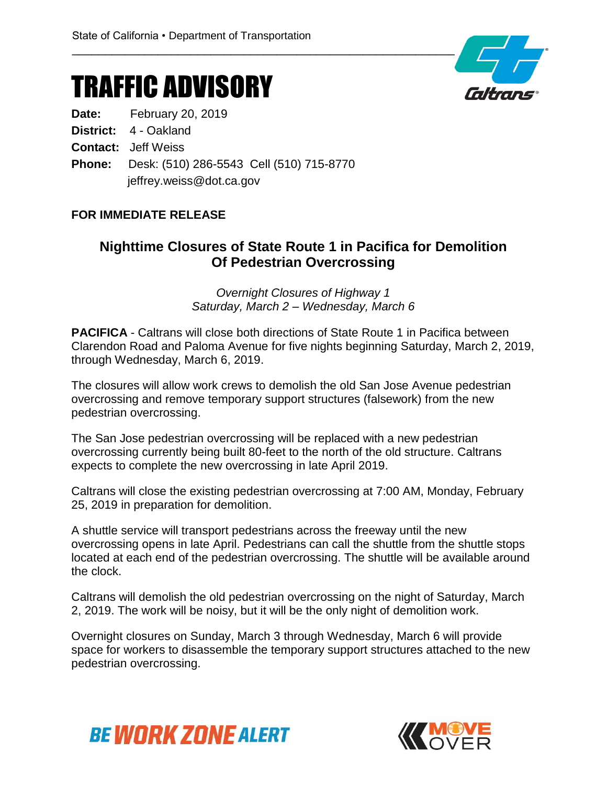## TRAFFIC ADVISORY

**Date:** February 20, 2019

**District:** 4 - Oakland

**Contact:** Jeff Weiss

**Phone:** Desk: (510) 286-5543 Cell (510) 715-8770 jeffrey.weiss@dot.ca.gov

#### **FOR IMMEDIATE RELEASE**

#### **Nighttime Closures of State Route 1 in Pacifica for Demolition Of Pedestrian Overcrossing**

*Overnight Closures of Highway 1 Saturday, March 2 – Wednesday, March 6*

**PACIFICA** - Caltrans will close both directions of State Route 1 in Pacifica between Clarendon Road and Paloma Avenue for five nights beginning Saturday, March 2, 2019, through Wednesday, March 6, 2019.

The closures will allow work crews to demolish the old San Jose Avenue pedestrian overcrossing and remove temporary support structures (falsework) from the new pedestrian overcrossing.

The San Jose pedestrian overcrossing will be replaced with a new pedestrian overcrossing currently being built 80-feet to the north of the old structure. Caltrans expects to complete the new overcrossing in late April 2019.

Caltrans will close the existing pedestrian overcrossing at 7:00 AM, Monday, February 25, 2019 in preparation for demolition.

A shuttle service will transport pedestrians across the freeway until the new overcrossing opens in late April. Pedestrians can call the shuttle from the shuttle stops located at each end of the pedestrian overcrossing. The shuttle will be available around the clock.

Caltrans will demolish the old pedestrian overcrossing on the night of Saturday, March 2, 2019. The work will be noisy, but it will be the only night of demolition work.

Overnight closures on Sunday, March 3 through Wednesday, March 6 will provide space for workers to disassemble the temporary support structures attached to the new pedestrian overcrossing.





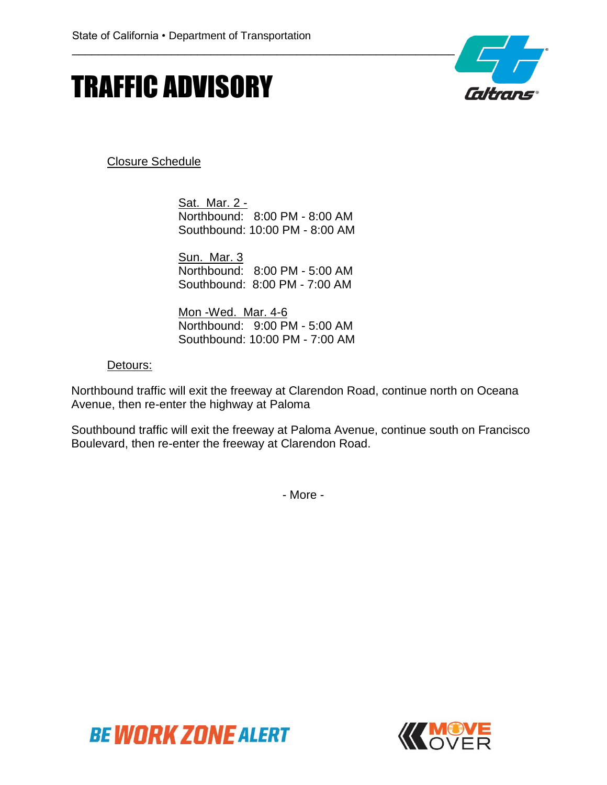# TRAFFIC ADVISORY



Closure Schedule

Sat. Mar. 2 -Northbound: 8:00 PM - 8:00 AM Southbound: 10:00 PM - 8:00 AM

Sun. Mar. 3 Northbound: 8:00 PM - 5:00 AM Southbound: 8:00 PM - 7:00 AM

Mon -Wed. Mar. 4-6 Northbound: 9:00 PM - 5:00 AM Southbound: 10:00 PM - 7:00 AM

#### Detours:

Northbound traffic will exit the freeway at Clarendon Road, continue north on Oceana Avenue, then re-enter the highway at Paloma

Southbound traffic will exit the freeway at Paloma Avenue, continue south on Francisco Boulevard, then re-enter the freeway at Clarendon Road.

- More -